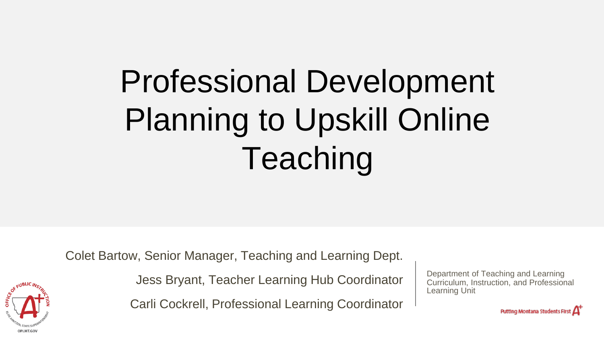# Professional Development Planning to Upskill Online Teaching

Colet Bartow, Senior Manager, Teaching and Learning Dept.

Jess Bryant, Teacher Learning Hub Coordinator

Carli Cockrell, Professional Learning Coordinator

Department of Teaching and Learning Curriculum, Instruction, and Professional Learning Unit

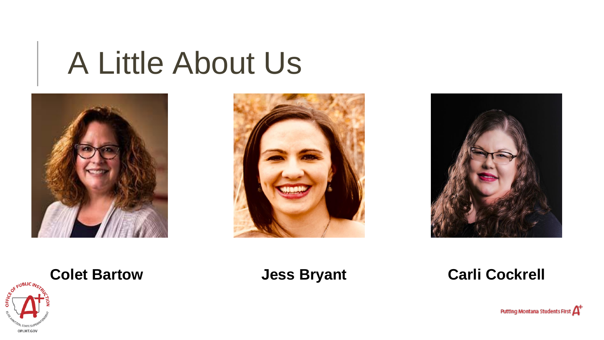# A Little About Us













Putting Montana Students First  $A^*$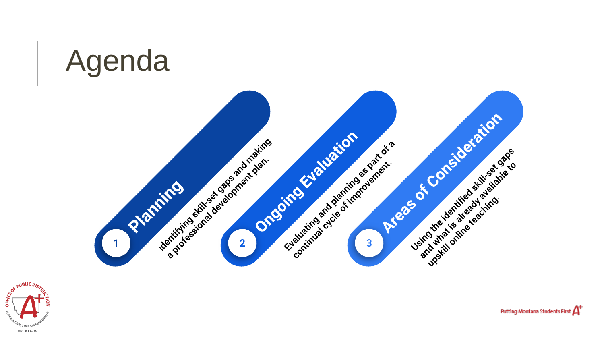



Putting Montana Students First  $A^{\!+}$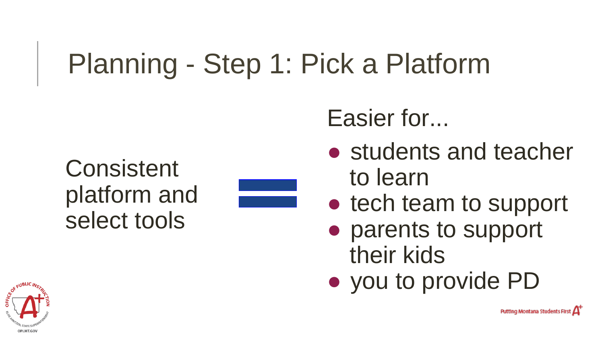## Planning - Step 1: Pick a Platform

Consistent platform and select tools

Easier for...

- students and teacher to learn
- tech team to support
- parents to support their kids
- you to provide PD

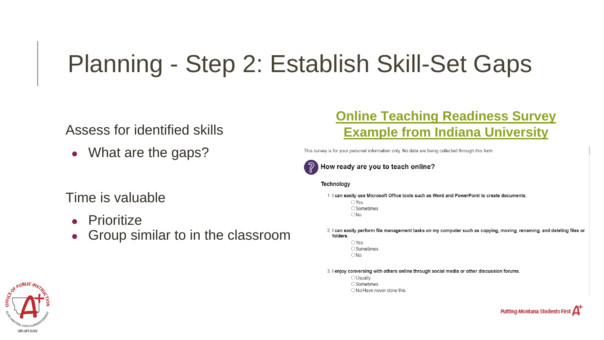### Planning - Step 2: Establish Skill-Set Gaps

#### Assess for identified skills

• What are the gaps?

#### Time is valuable

- Prioritize
- Group similar to in the classroom

#### **[Online Teaching Readiness Survey](https://elearn.sitehost.iu.edu/courses/tos/online-teaching/red/index.html)  [Example from Indiana University](https://elearn.sitehost.iu.edu/courses/tos/online-teaching/red/index.html)**

This survey is for your personal information only. No data are being collected through this form.



 $\mathbb{Q}$  How ready are you to teach online?

#### Technology

- 1. I can easily use Microsoft Office tools such as Word and PowerPoint to create documents.  $\bigcirc$  Yes ○ Sometimes  $\bigcirc$  No
- 2. I can easily perform file management tasks on my computer such as copying, moving, renaming, and deleting files or folders.
	- $\bigcirc$  Yes ○Sometimes  $\bigcirc$  No
- 3. I enjoy conversing with others online through social media or other discussion forums.
	- OUsually ○ Sometimes O No/Have never done this



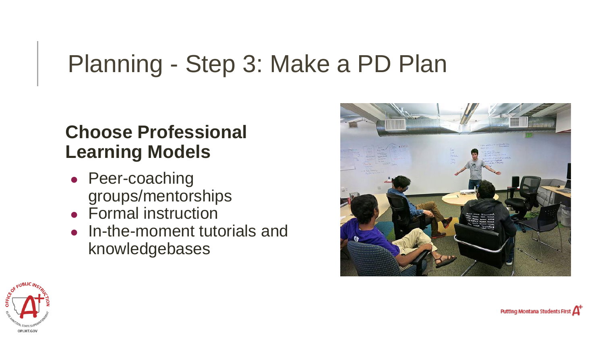### Planning - Step 3: Make a PD Plan

### **Choose Professional Learning Models**

- Peer-coaching groups/mentorships
- Formal instruction
- In-the-moment tutorials and knowledgebases



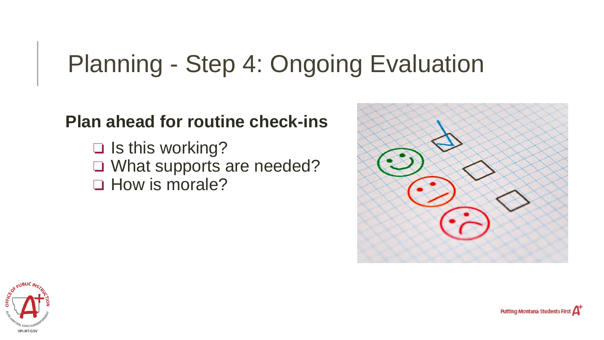### Planning - Step 4: Ongoing Evaluation

### **Plan ahead for routine check-ins**

❏ Is this working? ❏ What supports are needed? ❏ How is morale?





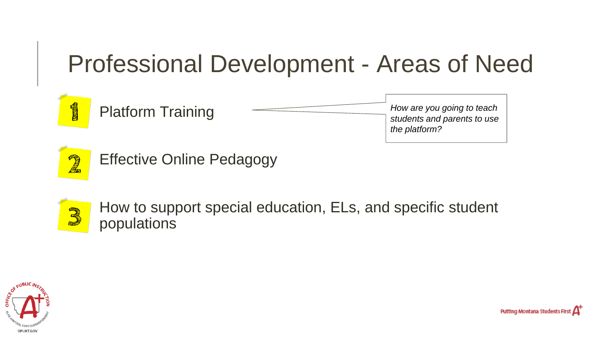### Professional Development - Areas of Need



*How are you going to teach students and parents to use the platform?*



Effective Online Pedagogy



How to support special education, ELs, and specific student populations



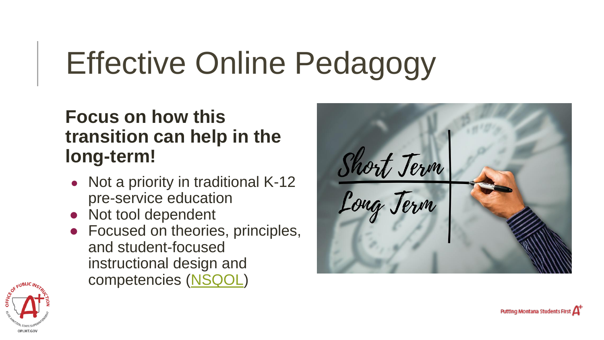# Effective Online Pedagogy

### **Focus on how this transition can help in the long-term!**

- Not a priority in traditional K-12 pre-service education
- Not tool dependent
- Focused on theories, principles, and student-focused instructional design and competencies [\(NSQOL](https://www.nsqol.org/))



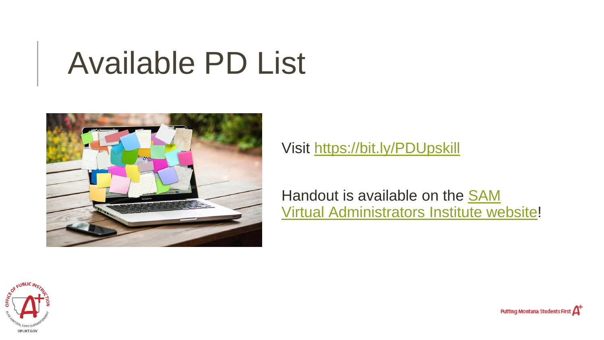# Available PD List



Visit<https://bit.ly/PDUpskill>

Handout is available on the SAM [Virtual Administrators Institute website](https://www.sammt.org/sam-administrators-institute)!



Putting Montana Students First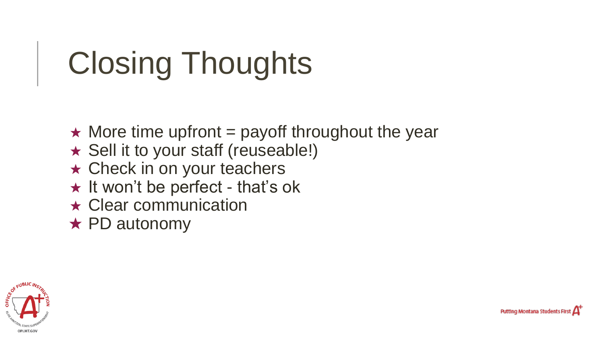# Closing Thoughts

- $\star$  More time upfront = payoff throughout the year
- ★ Sell it to your staff (reuseable!)
- ★ Check in on your teachers
- ★ It won't be perfect that's ok
- ★ Clear communication
- ★ PD autonomy